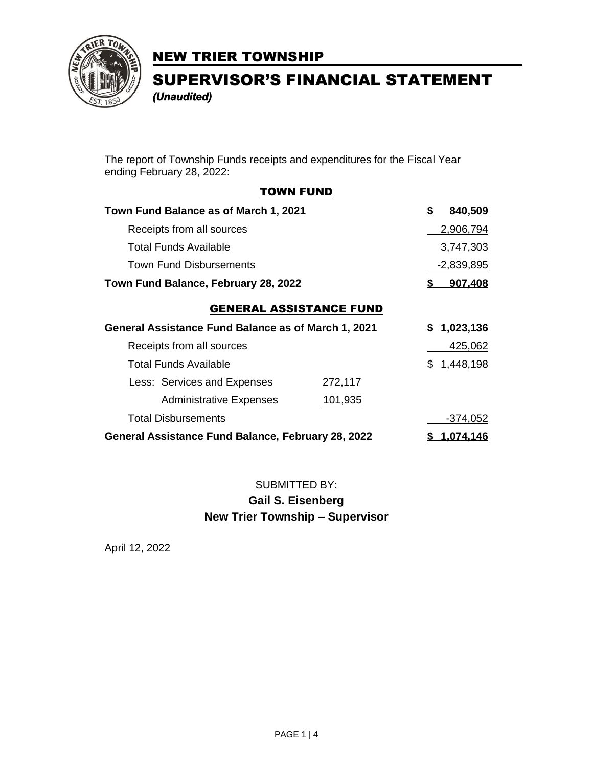

SUPERVISOR'S FINANCIAL STATEMENT *(Unaudited)* 

The report of Township Funds receipts and expenditures for the Fiscal Year ending February 28, 2022:

#### TOWN FUND

| Town Fund Balance as of March 1, 2021                      |         | \$<br>840,509 |
|------------------------------------------------------------|---------|---------------|
| Receipts from all sources                                  |         | 2,906,794     |
| Total Funds Available                                      |         | 3,747,303     |
| <b>Town Fund Disbursements</b>                             |         | $-2,839,895$  |
| Town Fund Balance, February 28, 2022                       |         | 907,408       |
| <b>GENERAL ASSISTANCE FUND</b>                             |         |               |
| <b>General Assistance Fund Balance as of March 1, 2021</b> |         | \$1,023,136   |
| Receipts from all sources                                  |         | 425,062       |
| Total Funds Available                                      |         | \$1,448,198   |
| Less: Services and Expenses                                | 272,117 |               |
| <b>Administrative Expenses</b>                             | 101,935 |               |
| <b>Total Disbursements</b>                                 |         | $-374,052$    |
| General Assistance Fund Balance, February 28, 2022         |         | 1.074.146     |

### SUBMITTED BY:

### **Gail S. Eisenberg New Trier Township – Supervisor**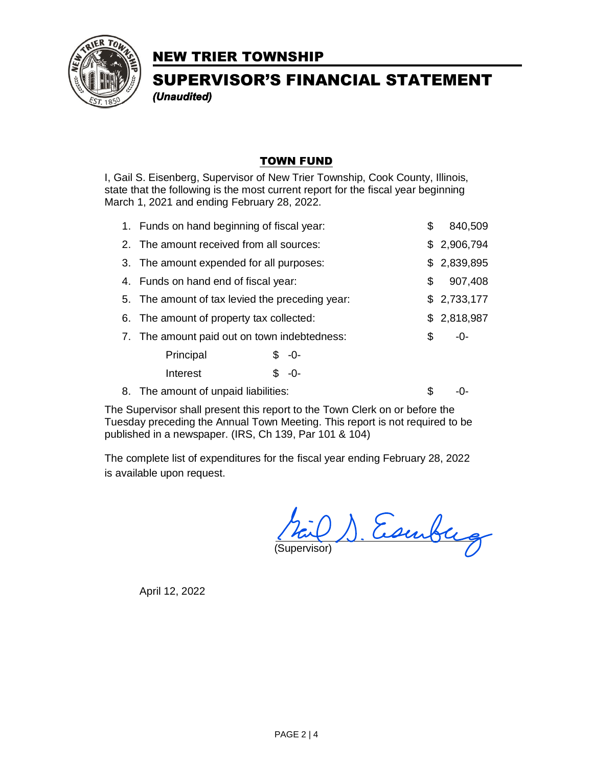

## SUPERVISOR'S FINANCIAL STATEMENT *(Unaudited)*

#### TOWN FUND

I, Gail S. Eisenberg, Supervisor of New Trier Township, Cook County, Illinois, state that the following is the most current report for the fiscal year beginning March 1, 2021 and ending February 28, 2022.

| 1. Funds on hand beginning of fiscal year:      |  |         | \$          | 840,509     |
|-------------------------------------------------|--|---------|-------------|-------------|
| 2. The amount received from all sources:        |  |         |             | \$2,906,794 |
| 3. The amount expended for all purposes:        |  |         | \$2,839,895 |             |
| 4. Funds on hand end of fiscal year:            |  | \$      | 907,408     |             |
| 5. The amount of tax levied the preceding year: |  |         | \$2,733,177 |             |
| 6. The amount of property tax collected:        |  |         |             | \$2,818,987 |
| 7. The amount paid out on town indebtedness:    |  |         | \$          | -0-         |
| Principal                                       |  | $$ -0-$ |             |             |
| Interest                                        |  | \$ -0-  |             |             |
| 8. The amount of unpaid liabilities:            |  |         | S           |             |

The Supervisor shall present this report to the Town Clerk on or before the Tuesday preceding the Annual Town Meeting. This report is not required to be published in a newspaper. (IRS, Ch 139, Par 101 & 104)

The complete list of expenditures for the fiscal year ending February 28, 2022 is available upon request.

(Science) Escribing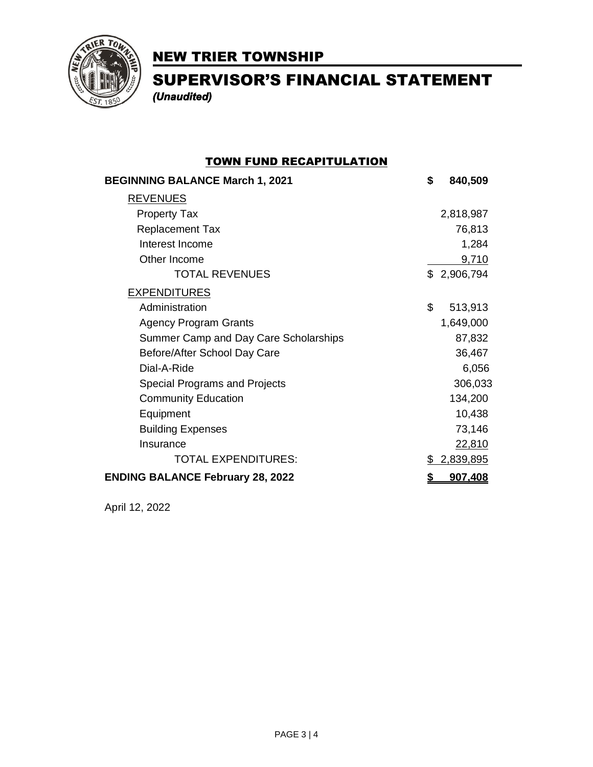

SUPERVISOR'S FINANCIAL STATEMENT *(Unaudited)* 

### TOWN FUND RECAPITULATION

| <b>BEGINNING BALANCE March 1, 2021</b>  | \$ | 840,509     |
|-----------------------------------------|----|-------------|
| <b>REVENUES</b>                         |    |             |
| <b>Property Tax</b>                     |    | 2,818,987   |
| <b>Replacement Tax</b>                  |    | 76,813      |
| Interest Income                         |    | 1,284       |
| Other Income                            |    | 9,710       |
| <b>TOTAL REVENUES</b>                   |    | \$2,906,794 |
| <b>EXPENDITURES</b>                     |    |             |
| Administration                          | \$ | 513,913     |
| <b>Agency Program Grants</b>            |    | 1,649,000   |
| Summer Camp and Day Care Scholarships   |    | 87,832      |
| Before/After School Day Care            |    | 36,467      |
| Dial-A-Ride                             |    | 6,056       |
| Special Programs and Projects           |    | 306,033     |
| <b>Community Education</b>              |    | 134,200     |
| Equipment                               |    | 10,438      |
| <b>Building Expenses</b>                |    | 73,146      |
| Insurance                               |    | 22,810      |
| <b>TOTAL EXPENDITURES:</b>              | S. | 2,839,895   |
| <b>ENDING BALANCE February 28, 2022</b> | \$ | 907,408     |